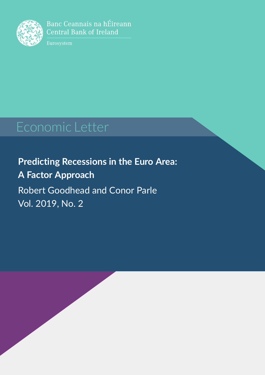<span id="page-0-0"></span>

Banc Ceannais na hÉireann **Central Bank of Ireland** 

Eurosystem

**Predicting Recessions in the Euro Area: A Factor Approach** Robert Goodhead and Conor Parle Vol. 2019, No. 2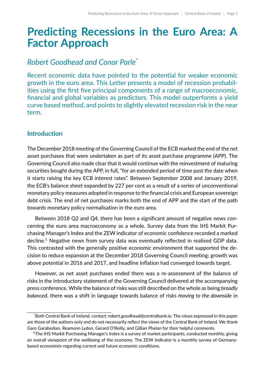# **Predicting Recessions in the Euro Area: A Factor Approach**

# *Robert Goodhead and Conor Parle*[\\*](#page-0-0)

Recent economic data have pointed to the potential for weaker economic growth in the euro area. This Letter presents a model of recession probabilities using the first five principal components of a range of macroeconomic, financial and global variables as predictors. This model outperforms a yield curve based method, and points to slightly elevated recession risk in the near term.

### **Introduction**

The December 2018 meeting of the Governing Council of the ECB marked the end of the net asset purchases that were undertaken as part of its asset purchase programme (APP). The Governing Council also made clear that it would continue with the reinvestment of maturing securities bought during the APP, in full, "for an extended period of time past the date when it starts raising the key ECB interest rates". Between September 2008 and January 2019, the ECB's balance sheet expanded by 227 per cent as a result of a series of unconventional monetary policy measures adopted in response to the financial crisis and European sovereign debt crisis. The end of net purchases marks both the end of APP and the start of the path towards monetary policy normalisation in the euro area.

Between 2018 Q2 and Q4, there has been a significant amount of negative news concerning the euro area macroeconomy as a whole. Survey data from the IHS Markit Purchasing Manager's Index and the ZEW indicator of economic confidence recorded a marked decline.<sup>[1](#page-0-0)</sup> Negative news from survey data was eventually reflected in realised GDP data. This contrasted with the generally positive economic environment that supported the decision to reduce expansion at the December 2018 Governing Council meeting; growth was above potential in 2016 and 2017, and headline inflation had converged towards target.

However, as net asset purchases ended there was a re-assessment of the balance of risks in the introductory statement of the Governing Council delivered at the accompanying press conference. While the balance of risks was still described on the whole as being *broadly balanced*, there was a shift in language towards balance of risks *moving to the downside* in

<sup>\*</sup>Both Central Bank of Ireland, contact: [robert.goodhead@centralbank.ie.](mailto: robert.goodhead@centralbank.ie) The views expressed in this paper are those of the authors only and do not necessarily reflect the views of the Central Bank of Ireland. We thank Garo Garabedian, Reamonn Lydon, Gerard O'Reilly, and Gillian Phelan for their helpful comments.

<sup>&</sup>lt;sup>1</sup>The IHS Markit Purchasing Manager's Index is a survey of market participants, conducted monthly, giving an overall viewpoint of the wellbeing of the economy. The ZEW Indicator is a monthly survey of Germanybased economists regarding current and future economic conditions.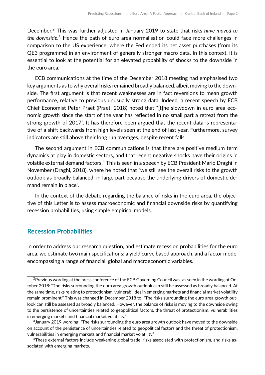December.[2](#page-0-0) This was further adjusted in January 2019 to state that risks *have moved to the downside*. [3](#page-0-0) Hence the path of euro area normalisation could face more challenges in comparison to the US experience, where the Fed ended its net asset purchases (from its QE3 programme) in an environment of generally stronger macro data. In this context, it is essential to look at the potential for an elevated probability of shocks to the downside in the euro area.

ECB communications at the time of the December 2018 meeting had emphasised two key arguments as to why overall risks remained broadly balanced, albeit moving to the downside. The first argument is that recent weaknesses are in fact reversions to mean growth performance, relative to previous unusually strong data. Indeed, a recent speech by ECB Chief Economist Peter Praet [\(Praet,](#page-11-0) [2018\)](#page-11-0) noted that "[t]he slowdown in euro area economic growth since the start of the year has reflected in no small part a retreat from the strong growth of 2017". It has therefore been argued that the recent data is representative of a shift backwards from high levels seen at the end of last year. Furthermore, survey indicators are still above their long run averages, despite recent falls.

The second argument in ECB communications is that there are positive medium term dynamics at play in domestic sectors, and that recent negative shocks have their origins in volatile external demand factors.[4](#page-0-0) This is seen in a speech by ECB President Mario Draghi in November [\(Draghi,](#page-11-1) [2018\)](#page-11-1), where he noted that "we still see the overall risks to the growth outlook as broadly balanced, in large part because the underlying drivers of domestic demand remain in place".

In the context of the debate regarding the balance of risks in the euro area, the objective of this Letter is to assess macroeconomic and financial downside risks by quantifying recession probabilities, using simple empirical models.

#### **Recession Probabilities**

In order to address our research question, and estimate recession probabilities for the euro area, we estimate two main specifications: a yield curve based approach, and a factor model encompassing a range of financial, global and macroeconomic variables.

<sup>&</sup>lt;sup>2</sup> Previous wording at the press conference of the ECB Governing Council was, as seen in the wording of October 2018: "The risks surrounding the euro area growth outlook can still be assessed as broadly balanced. At the same time, risks relating to protectionism, vulnerabilities in emerging markets and financial market volatility remain prominent." This was changed in December 2018 to: "The risks surrounding the euro area growth outlook can still be assessed as broadly balanced. However, the balance of risks is moving to the downside owing to the persistence of uncertainties related to geopolitical factors, the threat of protectionism, vulnerabilities in emerging markets and financial market volatility."

 $^3$ January 2019 wording: "The risks surrounding the euro area growth outlook have moved to the downside on account of the persistence of uncertainties related to geopolitical factors and the threat of protectionism, vulnerabilities in emerging markets and financial market volatility."

<sup>4</sup>These external factors include weakening global trade, risks associated with protectionism, and risks associated with emerging markets.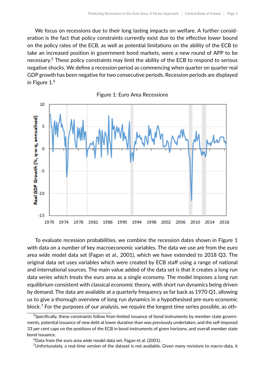We focus on recessions due to their long lasting impacts on welfare. A further consideration is the fact that policy constraints currently exist due to the effective lower bound on the policy rates of the ECB, as well as potential limitations on the ability of the ECB to take an increased position in government bond markets, were a new round of APP to be necessary.<sup>[5](#page-0-0)</sup> These policy constraints may limit the ability of the ECB to respond to serious negative shocks. We define a recession period as commencing when quarter on quarter real GDP growth has been negative for two consecutive periods. Recession periods are displayed in Figure [1.](#page-3-0) [6](#page-0-0)

<span id="page-3-0"></span>

To evaluate recession probabilities, we combine the recession dates shown in Figure [1](#page-3-0) with data on a number of key macroeconomic variables. The data we use are from the euro area wide model data set [\(Fagan et al.,](#page-11-2) [2001\)](#page-11-2), which we have extended to 2018 Q3. The original data set uses variables which were created by ECB staff using a range of national and international sources. The main value added of the data set is that it creates a long run data series which treats the euro area as a single economy. The model imposes a long run equilibrium consistent with classical economic theory, with short run dynamics being driven by demand. The data are available at a quarterly frequency as far back as 1970 Q1, allowing us to give a thorough overview of long run dynamics in a hypothesised pre-euro economic block.<sup>[7](#page-0-0)</sup> For the purposes of our analysis, we require the longest time series possible, as oth-

<sup>&</sup>lt;sup>5</sup>Specifically, these constraints follow from limited issuance of bond instruments by member state governments, potential issuance of new debt at lower duration than was previously undertaken, and the self-imposed 33 per cent caps on the positions of the ECB in bond instruments of given horizons, and overall member state bond issuance.

 $6$ Data from the euro area wide model data set, [Fagan et al.](#page-11-2) [\(2001\)](#page-11-2).

<sup>&</sup>lt;sup>7</sup>Unfortunately, a real-time version of the dataset is not available. Given many revisions to macro-data, it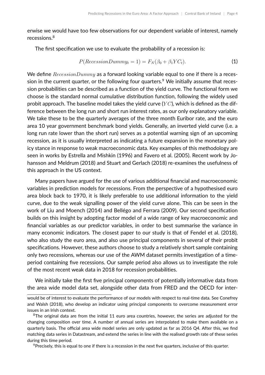erwise we would have too few observations for our dependent variable of interest, namely recessions.[8](#page-0-0)

The first specification we use to evaluate the probability of a recession is:

<span id="page-4-0"></span>
$$
P(RecessionDummy_t = 1) = F_N(\beta_0 + \beta_1 Y C_t).
$$
 (1)

We define  $RecessionDummy$  as a forward looking variable equal to one if there is a reces-sion in the current quarter, or the following four quarters.<sup>[9](#page-0-0)</sup> We initially assume that recession probabilities can be described as a function of the yield curve. The functional form we choose is the standard normal cumulative distribution function, following the widely used probit approach. The baseline model takes the yield curve  $(YC)$ , which is defined as the difference between the long run and short run interest rates, as our only explanatory variable. We take these to be the quarterly averages of the three month Euribor rate, and the euro area 10 year government benchmark bond yields. Generally, an inverted yield curve (i.e. a long run rate lower than the short run) serves as a potential warning sign of an upcoming recession, as it is usually interpreted as indicating a future expansion in the monetary policy stance in response to weak macroeconomic data. Key examples of this methodology are seen in works by [Estrella and Mishkin](#page-11-3) [\(1996\)](#page-11-3) and [Favero et al.](#page-11-4) [\(2005\)](#page-11-4). Recent work by [Jo](#page-11-5)[hansson and Meldrum](#page-11-5) [\(2018\)](#page-11-5) and [Stuart and Gerlach](#page-11-6) [\(2018\)](#page-11-6) re-examines the usefulness of this approach in the US context.

Many papers have argued for the use of various additional financial and macroeconomic variables in prediction models for recessions. From the perspective of a hypothesised euro area block back to 1970, it is likely preferable to use additional information to the yield curve, due to the weak signalling power of the yield curve alone. This can be seen in the work of [Liu and Moench](#page-11-7) [\(2014\)](#page-11-7) and [Bellégo and Ferrara](#page-11-8) [\(2009\)](#page-11-8). Our second specification builds on this insight by adopting factor model of a wide range of key macroeconomic and financial variables as our predictor variables, in order to best summarise the variance in many economic indicators. The closest paper to our study is that of [Fendel et al.](#page-11-9) [\(2018\)](#page-11-9), who also study the euro area, and also use principal components in several of their probit specifications. However, these authors choose to study a relatively short sample containing only two recessions, whereas our use of the AWM dataset permits investigation of a timeperiod containing five recessions. Our sample period also allows us to investigate the role of the most recent weak data in 2018 for recession probabilities.

We initially take the first five principal components of potentially informative data from the area wide model data set, alongside other data from FRED and the OECD for inter-

<sup>9</sup> Precisely, this is equal to one if there is a recession in the next five quarters, inclusive of this quarter.

would be of interest to evaluate the performance of our models with respect to real-time data. See [Conefrey](#page-11-10) [and Walsh](#page-11-10) [\(2018\)](#page-11-10), who develop an indicator using principal components to overcome measurement error issues in an Irish context.

<sup>&</sup>lt;sup>8</sup>The original data are from the initial 11 euro area countries, however, the series are adjusted for the changing composition over time. A number of annual series are interpolated to make them available on a quarterly basis. The official area wide model series are only updated as far as 2016 Q4. After this, we find matching data series in Datastream, and extend the series in line with the realised growth rate of these series during this time period.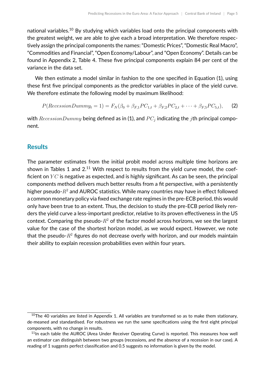national variables.<sup>[10](#page-0-0)</sup> By studying which variables load onto the principal components with the greatest weight, we are able to give each a broad interpretation. We therefore respectively assign the principal components the names: "Domestic Prices", "Domestic Real Macro", "Commodities and Financial", "Open Economy/Labour", and "Open Economy". Details can be found in Appendix 2, Table [4.](#page-13-0) These five principal components explain 84 per cent of the variance in the data set.

We then estimate a model similar in fashion to the one specified in Equation [\(1\)](#page-4-0), using these first five principal components as the predictor variables in place of the yield curve. We therefore estimate the following model by maximum likelihood:

$$
P(RecessionDummy_t = 1) = F_N(\beta_0 + \beta_{F,1}PC_{1,t} + \beta_{F,2}PC_{2,t} + \dots + \beta_{F,5}PC_{5,t}),
$$
 (2)

with  $RecessionDummy$  being defined as in [\(1\)](#page-4-0), and  $PC_j$  indicating the  $j$ th principal component.

#### **Results**

The parameter estimates from the initial probit model across multiple time horizons are shown in Tables [1](#page-6-0) and [2.](#page-6-1) $^{11}$  $^{11}$  $^{11}$  With respect to results from the yield curve model, the coefficient on  $YC$  is negative as expected, and is highly significant. As can be seen, the principal components method delivers much better results from a fit perspective, with a persistently higher pseudo- $R^2$  and AUROC statistics. While many countries may have in effect followed a common monetary policy via fixed exchange rate regimes in the pre-ECB period, this would only have been true to an extent. Thus, the decision to study the pre-ECB period likely renders the yield curve a less-important predictor, relative to its proven effectiveness in the US context. Comparing the pseudo- $R^2$  of the factor model across horizons, we see the largest value for the case of the shortest horizon model, as we would expect. However, we note that the pseudo- $R^2$  figures do not decrease overly with horizon, and our models maintain their ability to explain recession probabilities even within four years.

 $10$ The 40 variables are listed in Appendix 1. All variables are transformed so as to make them stationary, de-meaned and standardised. For robustness we run the same specifications using the first eight principal components, with no change in results.

<sup>&</sup>lt;sup>11</sup>In each table the AUROC (Area Under Receiver Operating Curve) is reported. This measures how well an estimator can distinguish between two groups (recessions, and the absence of a recession in our case). A reading of 1 suggests perfect classification and 0.5 suggests no information is given by the model.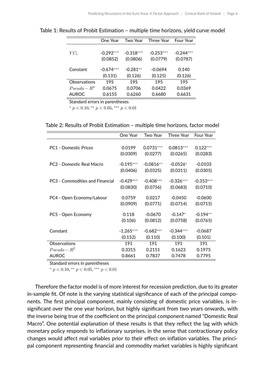|                | One Year    | Two Year    | Three Year  | <b>Four Year</b> |
|----------------|-------------|-------------|-------------|------------------|
|                |             |             |             |                  |
| $YC_t$         | $-0.292***$ | $-0.318***$ | $-0.253***$ | $-0.244***$      |
|                | (0.0852)    | (0.0806)    | (0.0779)    | (0.0787)         |
|                |             |             |             |                  |
| Constant       | $-0.674***$ | $-0.281**$  | $-0.0694$   | 0.140            |
|                | (0.131)     | (0.126)     | (0.125)     | (0.126)          |
| Observations   | 195         | 195         | 195         | 195              |
| $Pseudo - R^2$ | 0.0675      | 0.0706      | 0.0422      | 0.0369           |
| <b>AUROC</b>   | 0.6155      | 0.6260      | 0.6680      | 0.6631           |

<span id="page-6-0"></span>Table 1: Results of Probit Estimation – multiple time horizons, yield curve model

Standard errors in parentheses

\*  $p < 0.10$ , \*\*  $p < 0.05$ , \*\*\*  $p < 0.01$ 

<span id="page-6-1"></span>Table 2: Results of Probit Estimation – multiple time horizons, factor model

|                                 | One Year    | Two Year    | Three Year  | <b>Four Year</b> |
|---------------------------------|-------------|-------------|-------------|------------------|
|                                 |             |             |             |                  |
| <b>PC1 - Domestic Prices</b>    | 0.0199      | $0.0731***$ | $0.0813***$ | $0.122***$       |
|                                 | (0.0309)    | (0.0277)    | (0.0265)    | (0.0283)         |
|                                 |             |             |             |                  |
| PC2 - Domestic Real Macro       | $-0.195***$ | $-0.0816**$ | $-0.0526*$  | $-0.0103$        |
|                                 | (0.0406)    | (0.0325)    | (0.0311)    | (0.0305)         |
| PC3 - Commodities and Financial | $-0.429***$ | $-0.408***$ | $-0.326***$ | $-0.353***$      |
|                                 |             |             |             |                  |
|                                 | (0.0830)    | (0.0756)    | (0.0683)    | (0.0710)         |
| PC4 - Open Economy/Labour       | 0.0759      | 0.0217      | $-0.0450$   | $-0.0600$        |
|                                 | (0.0909)    | (0.0771)    | (0.0714)    | (0.0715)         |
| PC5 - Open Economy              | 0.118       | $-0.0670$   | $-0.147*$   | $-0.194**$       |
|                                 |             |             |             |                  |
|                                 | (0.106)     | (0.0812)    | (0.0758)    | (0.0765)         |
| Constant                        | $-1.265***$ | $-0.682***$ | $-0.344***$ | $-0.0687$        |
|                                 | (0.152)     | (0.110)     | (0.100)     | (0.101)          |
| Observations                    | 191         | 191         | 191         | 191              |
| $Pseudo - R^2$                  | 0.3315      | 0.2151      | 0.1623      | 0.1975           |
| <b>AUROC</b>                    | 0.8661      | 0.7837      | 0.7478      | 0.7795           |

Standard errors in parentheses

\*  $p < 0.10$ , \*\*  $p < 0.05$ , \*\*\*  $p < 0.01$ 

Therefore the factor model is of more interest for recession prediction, due to its greater in-sample fit. Of note is the varying statistical significance of each of the principal components. The first principal component, mainly consisting of domestic price variables, is insignificant over the one year horizon, but highly significant from two years onwards, with the inverse being true of the coefficient on the principal component named "Domestic Real Macro". One potential explanation of these results is that they reflect the lag with which monetary policy responds to inflationary surprises, in the sense that contractionary policy changes would affect real variables prior to their effect on inflation variables. The principal component representing financial and commodity market variables is highly significant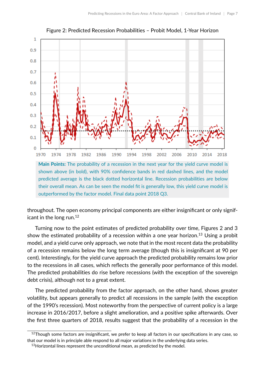<span id="page-7-0"></span>

Figure 2: Predicted Recession Probabilities – Probit Model, 1-Year Horizon

**Main Points:** The probability of a recession in the next year for the yield curve model is shown above (in bold), with 90% confidence bands in red dashed lines, and the model predicted average is the black dotted horizontal line. Recession probabilities are below their overall mean. As can be seen the model fit is generally low, this yield curve model is outperformed by the factor model. Final data point 2018 Q3.

throughout. The open economy principal components are either insignificant or only significant in the long run. $12$ 

Turning now to the point estimates of predicted probability over time, Figures [2](#page-7-0) and [3](#page-8-0) show the estimated probability of a recession within a one year horizon.<sup>[13](#page-0-0)</sup> Using a probit model, and a yield curve only approach, we note that in the most recent data the probability of a recession remains below the long term average (though this is insignificant at 90 per cent). Interestingly, for the yield curve approach the predicted probability remains low prior to the recessions in all cases, which reflects the generally poor performance of this model. The predicted probabilities do rise before recessions (with the exception of the sovereign debt crisis), although not to a great extent.

The predicted probability from the factor approach, on the other hand, shows greater volatility, but appears generally to predict all recessions in the sample (with the exception of the 1990's recession). Most noteworthy from the perspective of current policy is a large increase in 2016/2017, before a slight amelioration, and a positive spike afterwards. Over the first three quarters of 2018, results suggest that the probability of a recession in the

 $12$ Though some factors are insignificant, we prefer to keep all factors in our specifications in any case, so that our model is in principle able respond to all major variations in the underlying data series.

 $13$ Horizontal lines represent the unconditional mean, as predicted by the model.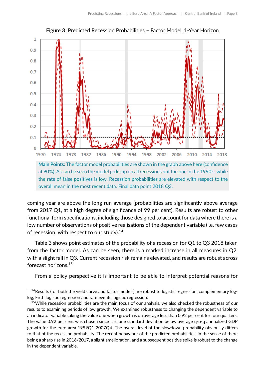<span id="page-8-0"></span>

Figure 3: Predicted Recession Probabilities – Factor Model, 1-Year Horizon

at 90%). As can be seen the model picks up on all recessions but the one in the 1990's, while the rate of false positives is low. Recession probabilities are elevated with respect to the overall mean in the most recent data. Final data point 2018 Q3.

coming year are above the long run average (probabilities are significantly above average from 2017 Q1, at a high degree of significance of 99 per cent). Results are robust to other functional form specifications, including those designed to account for data where there is a low number of observations of positive realisations of the dependent variable (i.e. few cases of recession, with respect to our study). $14$ 

Table [3](#page-9-0) shows point estimates of the probability of a recession for Q1 to Q3 2018 taken from the factor model. As can be seen, there is a marked increase in all measures in Q2, with a slight fall in Q3. Current recession risk remains elevated, and results are robust across forecast horizons.[15](#page-0-0)

From a policy perspective it is important to be able to interpret potential reasons for

<sup>&</sup>lt;sup>14</sup> Results (for both the yield curve and factor models) are robust to logistic regression, complementary loglog, Firth logistic regression and rare events logistic regression.

<sup>&</sup>lt;sup>15</sup>While recession probabilities are the main focus of our analysis, we also checked the robustness of our results to examining periods of low growth. We examined robustness to changing the dependent variable to an indicator variable taking the value one when growth is on average less than 0.92 per cent for four quarters. The value 0.92 per cent was chosen since it is one standard deviation below average q-o-q annualized GDP growth for the euro area 1999Q1-2007Q4. The overall level of the slowdown probability obviously differs to that of the recession probability. The recent behaviour of the predicted probabilities, in the sense of there being a sharp rise in 2016/2017, a slight amelioration, and a subsequent positive spike is robust to the change in the dependent variable.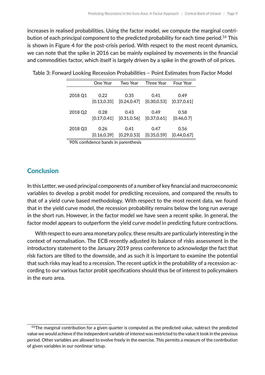increases in realised probabilities. Using the factor model, we compute the marginal contri-bution of each principal component to the predicted probability for each time period.<sup>[16](#page-0-0)</sup> This is shown in Figure [4](#page-10-0) for the post-crisis period. With respect to the most recent dynamics, we can note that the spike in 2016 can be mainly explained by movements in the financial and commodities factor, which itself is largely driven by a spike in the growth of oil prices.

|         | One Year     | Two Year     | Three Year   | Four Year    |
|---------|--------------|--------------|--------------|--------------|
| 2018 Q1 | 0.22         | 0.35         | 0.41         | 0.49         |
|         | [0.13, 0.35] | [0.24, 0.47] | [0.30, 0.53] | [0.37, 0.61] |
| 2018 Q2 | 0.28         | 0.43         | 0.49         | 0.58         |
|         | [0.17, 0.41] | [0.31, 0.56] | [0.37, 0.61] | [0.46, 0.7]  |
| 2018 Q3 | 0.26         | 0.41         | 0.47         | 0.56         |
|         | [0.16, 0.39] | [0.29, 0.53] | [0.35, 0.59] | [0.44, 0.67] |

<span id="page-9-0"></span>Table 3: Forward Looking Recession Probabilities – Point Estimates from Factor Model

90% confidence bands in parenthesis

#### **Conclusion**

In this Letter, we used principal components of a number of key financial and macroeconomic variables to develop a probit model for predicting recessions, and compared the results to that of a yield curve based methodology. With respect to the most recent data, we found that in the yield curve model, the recession probability remains below the long run average in the short run. However, in the factor model we have seen a recent spike. In general, the factor model appears to outperform the yield curve model in predicting future contractions.

With respect to euro area monetary policy, these results are particularly interesting in the context of normalisation. The ECB recently adjusted its balance of risks assessment in the introductory statement to the January 2019 press conference to acknowledge the fact that risk factors are tilted to the downside, and as such it is important to examine the potential that such risks may lead to a recession. The recent uptick in the probability of a recession according to our various factor probit specifications should thus be of interest to policymakers in the euro area.

 $16$ The marginal contribution for a given quarter is computed as the predicted value, subtract the predicted value we would achieve if the independent variable of interest was restricted to the value it took in the previous period. Other variables are allowed to evolve freely in the exercise. This permits a measure of the contribution of given variables in our nonlinear setup.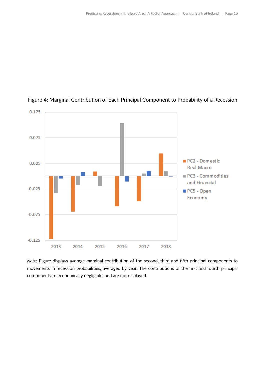

#### <span id="page-10-0"></span>Figure 4: Marginal Contribution of Each Principal Component to Probability of a Recession

*Note:* Figure displays average marginal contribution of the second, third and fifth principal components to movements in recession probabilities, averaged by year. The contributions of the first and fourth principal component are economically negligible, and are not displayed.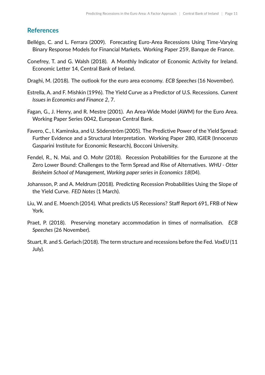#### **References**

- <span id="page-11-8"></span>Bellégo, C. and L. Ferrara (2009). Forecasting Euro-Area Recessions Using Time-Varying Binary Response Models for Financial Markets. Working Paper 259, Banque de France.
- <span id="page-11-10"></span>Conefrey, T. and G. Walsh (2018). A Monthly Indicator of Economic Activity for Ireland. Economic Letter 14, Central Bank of Ireland.
- <span id="page-11-1"></span>Draghi, M. (2018). The outlook for the euro area economy. *ECB Speeches* (16 November).
- <span id="page-11-3"></span>Estrella, A. and F. Mishkin (1996). The Yield Curve as a Predictor of U.S. Recessions. *Current Issues in Economics and Finance 2*, 7.
- <span id="page-11-2"></span>Fagan, G., J. Henry, and R. Mestre (2001). An Area-Wide Model (AWM) for the Euro Area. Working Paper Series 0042, European Central Bank.
- <span id="page-11-4"></span>Favero, C., I. Kaminska, and U. Söderström (2005). The Predictive Power of the Yield Spread: Further Evidence and a Structural Interpretation. Working Paper 280, IGIER (Innocenzo Gasparini Institute for Economic Research), Bocconi University.
- <span id="page-11-9"></span>Fendel, R., N. Mai, and O. Mohr (2018). Recession Probabilities for the Eurozone at the Zero Lower Bound: Challenges to the Term Spread and Rise of Alternatives. *WHU - Otter Beisheim School of Management, Working paper series in Economics 18*(04).
- <span id="page-11-5"></span>Johansson, P. and A. Meldrum (2018). Predicting Recession Probabilities Using the Slope of the Yield Curve. *FED Notes* (1 March).
- <span id="page-11-7"></span>Liu, W. and E. Moench (2014). What predicts US Recessions? Staff Report 691, FRB of New York.
- <span id="page-11-0"></span>Praet, P. (2018). Preserving monetary accommodation in times of normalisation. *ECB Speeches* (26 November).
- <span id="page-11-6"></span>Stuart, R. and S. Gerlach (2018). The term structure and recessions before the Fed. *VoxEU* (11 July).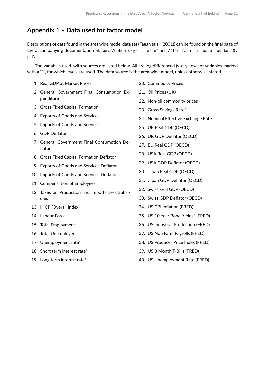## **Appendix 1 – Data used for factor model**

Descriptions of data found in the area wide model data set [\(Fagan et al.](#page-11-2) [\(2001\)](#page-11-2)) can be found on the final page of the accompanying documentation [https://eabcn.org/sites/default/files/awm\\_database\\_update\\_18.](https://eabcn.org/sites/default/files/awm_database_update_18.pdf) [pdf](https://eabcn.org/sites/default/files/awm_database_update_18.pdf).

The variables used, with sources are listed below. All are log differenced (y-o-y), except variables marked with a "\*", for which levels are used. The data source is the area wide model, unless otherwise stated.

- 1. Real GDP at Market Prices
- 2. General Government Final Consumption Expenditure
- 3. Gross Fixed Capital Formation
- 4. Exports of Goods and Services
- 5. Imports of Goods and Services
- 6. GDP Deflator
- 7. General Government Final Consumption Deflator
- 8. Gross Fixed Capital Formation Deflator
- 9. Exports of Goods and Services Deflator
- 10. Imports of Goods and Services Deflator
- 11. Compensation of Employees
- 12. Taxes on Production and Imports Less Subsidies
- 13. HICP (Overall Index)
- 14. Labour Force
- 15. Total Employment
- 16. Total Unemployed
- 17. Unemployment rate\*
- 18. Short term interest rate\*
- 19. Long term interest rate\*
- 20. Commodity Prices
- 21. Oil Prices (UK)
- 22. Non-oil commodity prices
- 23. Gross Savings Rate\*
- 24. Nominal Effective Exchange Rate
- 25. UK Real GDP (OECD)
- 26. UK GDP Deflator (OECD)
- 27. EU Real GDP (OECD)
- 28. USA Real GDP (OECD)
- 29. USA GDP Deflator (OECD)
- 30. Japan Real GDP (OECD)
- 31. Japan GDP Deflator (OECD)
- 32. Swiss Real GDP (OECD)
- 33. Swiss GDP Deflator (OECD)
- 34. US CPI Inflation (FRED)
- 35. US 10 Year Bond Yields\* (FRED)
- 36. US Industrial Production (FRED)
- 37. US Non Farm Payrolls (FRED)
- 38. US Producer Price Index (FRED)
- 39. US 3 Month T-Bills (FRED)
- 40. US Unemployment Rate (FRED)